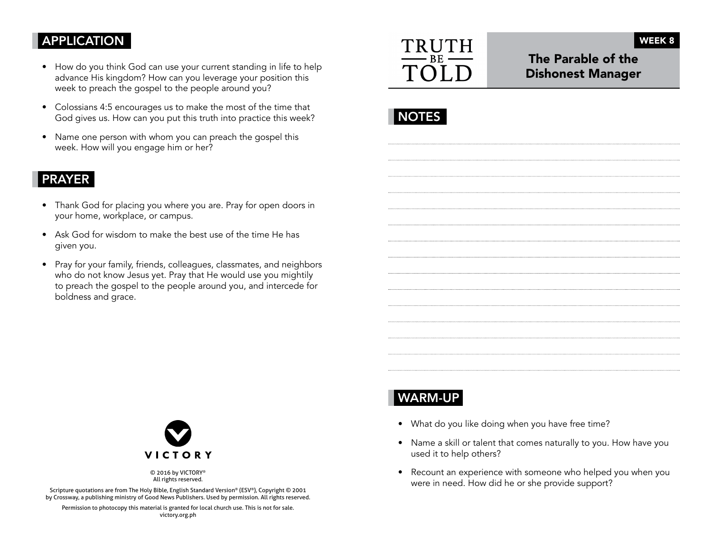## APPLICATION

- How do you think God can use your current standing in life to help advance His kingdom? How can you leverage your position this week to preach the gospel to the people around you?
- Colossians 4:5 encourages us to make the most of the time that God gives us. How can you put this truth into practice this week?
- Name one person with whom you can preach the gospel this week. How will you engage him or her?

### PRAYER

- Thank God for placing you where you are. Pray for open doors in your home, workplace, or campus.
- Ask God for wisdom to make the best use of the time He has given you.
- Pray for your family, friends, colleagues, classmates, and neighbors who do not know Jesus yet. Pray that He would use you mightily to preach the gospel to the people around you, and intercede for boldness and grace.



The Parable of the Dishonest Manager

WEEK 8

# WARM-UP

- What do you like doing when you have free time?
- Name a skill or talent that comes naturally to you. How have you used it to help others?
- Recount an experience with someone who helped you when you were in need. How did he or she provide support?



© 2016 by VICTORY® All rights reserved.

Scripture quotations are from The Holy Bible, English Standard Version® (ESV®), Copyright © 2001 by Crossway, a publishing ministry of Good News Publishers. Used by permission. All rights reserved.

Permission to photocopy this material is granted for local church use. This is not for sale. victory.org.ph